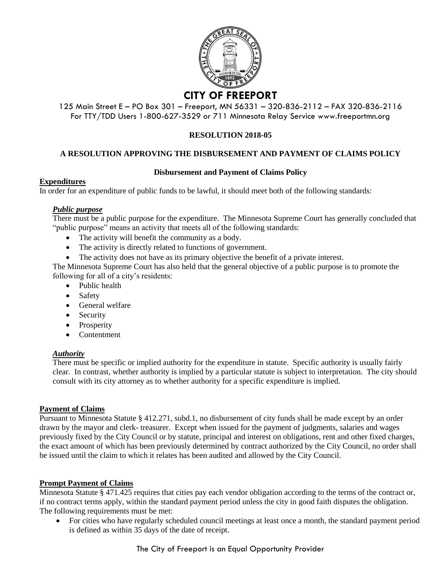

### 125 Main Street E – PO Box 301 – Freeport, MN 56331 – 320-836-2112 – FAX 320-836-2116 For TTY/TDD Users 1-800-627-3529 or 711 Minnesota Relay Service www.freeportmn.org

# **RESOLUTION 2018-05**

# **A RESOLUTION APPROVING THE DISBURSEMENT AND PAYMENT OF CLAIMS POLICY**

### **Disbursement and Payment of Claims Policy**

### **Expenditures**

In order for an expenditure of public funds to be lawful, it should meet both of the following standards:

## *Public purpose*

There must be a public purpose for the expenditure. The Minnesota Supreme Court has generally concluded that "public purpose" means an activity that meets all of the following standards:

- The activity will benefit the community as a body.
- The activity is directly related to functions of government.
- The activity does not have as its primary objective the benefit of a private interest.

The Minnesota Supreme Court has also held that the general objective of a public purpose is to promote the following for all of a city's residents:

- Public health
- Safety
- General welfare
- Security
- Prosperity
- Contentment

### *Authority*

There must be specific or implied authority for the expenditure in statute. Specific authority is usually fairly clear. In contrast, whether authority is implied by a particular statute is subject to interpretation. The city should consult with its city attorney as to whether authority for a specific expenditure is implied.

### **Payment of Claims**

Pursuant to Minnesota Statute § 412.271, subd.1, no disbursement of city funds shall be made except by an order drawn by the mayor and clerk- treasurer. Except when issued for the payment of judgments, salaries and wages previously fixed by the City Council or by statute, principal and interest on obligations, rent and other fixed charges, the exact amount of which has been previously determined by contract authorized by the City Council, no order shall be issued until the claim to which it relates has been audited and allowed by the City Council.

### **Prompt Payment of Claims**

Minnesota Statute § 471.425 requires that cities pay each vendor obligation according to the terms of the contract or, if no contract terms apply, within the standard payment period unless the city in good faith disputes the obligation. The following requirements must be met:

 For cities who have regularly scheduled council meetings at least once a month, the standard payment period is defined as within 35 days of the date of receipt.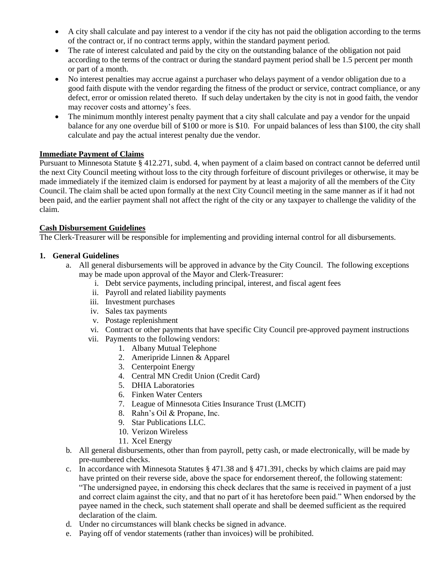- A city shall calculate and pay interest to a vendor if the city has not paid the obligation according to the terms of the contract or, if no contract terms apply, within the standard payment period.
- The rate of interest calculated and paid by the city on the outstanding balance of the obligation not paid according to the terms of the contract or during the standard payment period shall be 1.5 percent per month or part of a month.
- No interest penalties may accrue against a purchaser who delays payment of a vendor obligation due to a good faith dispute with the vendor regarding the fitness of the product or service, contract compliance, or any defect, error or omission related thereto. If such delay undertaken by the city is not in good faith, the vendor may recover costs and attorney's fees.
- The minimum monthly interest penalty payment that a city shall calculate and pay a vendor for the unpaid balance for any one overdue bill of \$100 or more is \$10. For unpaid balances of less than \$100, the city shall calculate and pay the actual interest penalty due the vendor.

## **Immediate Payment of Claims**

Pursuant to Minnesota Statute § 412.271, subd. 4, when payment of a claim based on contract cannot be deferred until the next City Council meeting without loss to the city through forfeiture of discount privileges or otherwise, it may be made immediately if the itemized claim is endorsed for payment by at least a majority of all the members of the City Council. The claim shall be acted upon formally at the next City Council meeting in the same manner as if it had not been paid, and the earlier payment shall not affect the right of the city or any taxpayer to challenge the validity of the claim.

## **Cash Disbursement Guidelines**

The Clerk-Treasurer will be responsible for implementing and providing internal control for all disbursements.

## **1. General Guidelines**

- a. All general disbursements will be approved in advance by the City Council. The following exceptions may be made upon approval of the Mayor and Clerk-Treasurer:
	- i. Debt service payments, including principal, interest, and fiscal agent fees
	- ii. Payroll and related liability payments
	- iii. Investment purchases
	- iv. Sales tax payments
	- v. Postage replenishment
	- vi. Contract or other payments that have specific City Council pre-approved payment instructions
	- vii. Payments to the following vendors:
		- 1. Albany Mutual Telephone
		- 2. Ameripride Linnen & Apparel
		- 3. Centerpoint Energy
		- 4. Central MN Credit Union (Credit Card)
		- 5. DHIA Laboratories
		- 6. Finken Water Centers
		- 7. League of Minnesota Cities Insurance Trust (LMCIT)
		- 8. Rahn's Oil & Propane, Inc.
		- 9. Star Publications LLC.
		- 10. Verizon Wireless
		- 11. Xcel Energy
- b. All general disbursements, other than from payroll, petty cash, or made electronically, will be made by pre-numbered checks.
- c. In accordance with Minnesota Statutes § 471.38 and § 471.391, checks by which claims are paid may have printed on their reverse side, above the space for endorsement thereof, the following statement: "The undersigned payee, in endorsing this check declares that the same is received in payment of a just and correct claim against the city, and that no part of it has heretofore been paid." When endorsed by the payee named in the check, such statement shall operate and shall be deemed sufficient as the required declaration of the claim.
- d. Under no circumstances will blank checks be signed in advance.
- e. Paying off of vendor statements (rather than invoices) will be prohibited.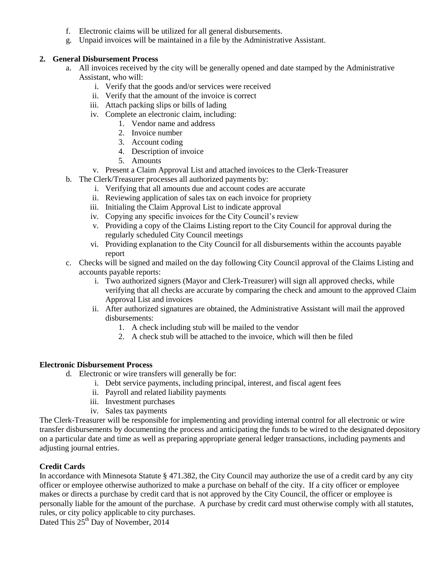- f. Electronic claims will be utilized for all general disbursements.
- g. Unpaid invoices will be maintained in a file by the Administrative Assistant.

# **2. General Disbursement Process**

- a. All invoices received by the city will be generally opened and date stamped by the Administrative Assistant, who will:
	- i. Verify that the goods and/or services were received
	- ii. Verify that the amount of the invoice is correct
	- iii. Attach packing slips or bills of lading
	- iv. Complete an electronic claim, including:
		- 1. Vendor name and address
		- 2. Invoice number
		- 3. Account coding
		- 4. Description of invoice
		- 5. Amounts
	- v. Present a Claim Approval List and attached invoices to the Clerk-Treasurer
- b. The Clerk/Treasurer processes all authorized payments by:
	- i. Verifying that all amounts due and account codes are accurate
	- ii. Reviewing application of sales tax on each invoice for propriety
	- iii. Initialing the Claim Approval List to indicate approval
	- iv. Copying any specific invoices for the City Council's review
	- v. Providing a copy of the Claims Listing report to the City Council for approval during the regularly scheduled City Council meetings
	- vi. Providing explanation to the City Council for all disbursements within the accounts payable report
- c. Checks will be signed and mailed on the day following City Council approval of the Claims Listing and accounts payable reports:
	- i. Two authorized signers (Mayor and Clerk-Treasurer) will sign all approved checks, while verifying that all checks are accurate by comparing the check and amount to the approved Claim Approval List and invoices
	- ii. After authorized signatures are obtained, the Administrative Assistant will mail the approved disbursements:
		- 1. A check including stub will be mailed to the vendor
		- 2. A check stub will be attached to the invoice, which will then be filed

## **Electronic Disbursement Process**

- d. Electronic or wire transfers will generally be for:
	- i. Debt service payments, including principal, interest, and fiscal agent fees
	- ii. Payroll and related liability payments
	- iii. Investment purchases
	- iv. Sales tax payments

The Clerk-Treasurer will be responsible for implementing and providing internal control for all electronic or wire transfer disbursements by documenting the process and anticipating the funds to be wired to the designated depository on a particular date and time as well as preparing appropriate general ledger transactions, including payments and adjusting journal entries.

# **Credit Cards**

In accordance with Minnesota Statute § 471.382, the City Council may authorize the use of a credit card by any city officer or employee otherwise authorized to make a purchase on behalf of the city. If a city officer or employee makes or directs a purchase by credit card that is not approved by the City Council, the officer or employee is personally liable for the amount of the purchase. A purchase by credit card must otherwise comply with all statutes, rules, or city policy applicable to city purchases.

Dated This 25<sup>th</sup> Day of November, 2014